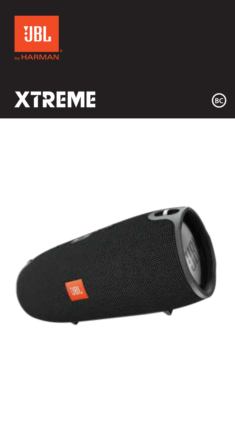



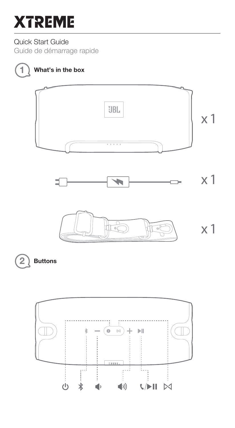Quick Start Guide

Guide de démarrage rapide



# 1) What's in the box









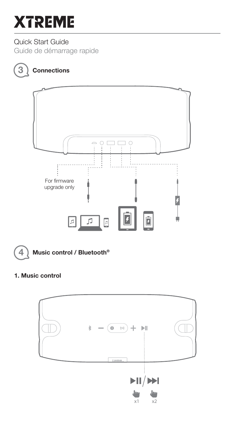### Quick Start Guide

Guide de démarrage rapide

# 3) Connections





 $(4)$  Music control / Bluetooth<sup>®</sup>

### 1. Music control

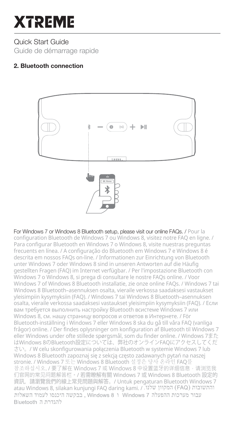Quick Start Guide Guide de démarrage rapide

### 2. Bluetooth connection



For Windows 7 or Windows 8 Bluetooth setup, please visit our online FAQs. / Pour la configuration Bluetooth de Windows 7 ou Windows 8, visitez notre FAQ en ligne. / Para configurar Bluetooth en Windows 7 o Windows 8, visite nuestras preguntas frecuents en línea. / A configuração do Bluetooth em Windows 7 e Windows 8 é descrita em nossos FAQs on-line. / Informationen zur Einrichtung von Bluetooth unter Windows 7 oder Windows 8 sind in unseren Antworten auf die Häufig gestellten Fragen (FAQ) im Internet verfügbar. / Per l'impostazione Bluetooth con Windows 7 o Windows 8, si prega di consultare le nostre FAQs online. / Voor Windows 7 of Windows 8 Bluetooth installatie, zie onze online FAQs. / Windows 7 tai Windows 8 Bluetooth–asennuksen osalta, vieraile verkossa saadaksesi vastaukset yleisimpiin kysymyksiin (FAQ). / Windows 7 tai Windows 8 Bluetooth–asennuksen osalta, vieraile verkossa saadaksesi vastaukset yleisimpiin kysymyksiin (FAQ). / Если вам требуется выполнить настройку Bluetooth всистеме Windows 7 или Windows 8, см. нашу страницу вопросов и ответов в Интернете. / För Bluetooth-inställning i Windows 7 eller Windows 8 ska du gå till våra FAQ (vanliga frågor) online. / Der findes oplysninger om konfiguration af Bluetooth til Windows 7 eller Windows under ofte stillede spørgsmål, som du finder online. / Windows 7また はWindows 8のBluetooth設定については、弊社のオンラインFAQにアクセスしてくだ さい。/ W celu skonfigurowania połączenia Bluetooth w systemie Windows 7 lub Windows 8 Bluetooth zapoznaj się z sekcją często zadawanych pytań na naszej stronie. / Windows 7 또는 Windows 8 Bluetooth 설정은 당사 온라인 FAQ를 참조하십시오. / 要了解在 Windows 7 或 Windows 8 中设置蓝牙的详细信息,请浏览我 们官网的常见问题解答栏。/ 若需瞭解有關 Windows 7 或 Windows 8 Bluetooth 設定的 資訊,請瀏覽我們的線上常見問題與解答。/ Untuk pengaturan Bluetooth Windows 7 atau Windows 8, silakan kunjungi FAQ daring kami. / המקוון שלנו<br>מבקשה היכנסו לעמוד השאלות Windows 8 ו Windows 8 , בבקשה היכנסו לעמוד השאלות להגדרת ה Bluetooth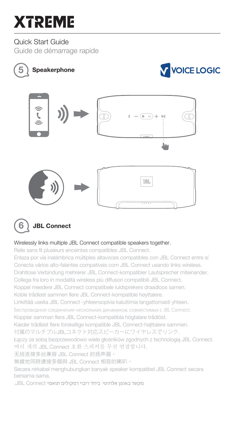### Quick Start Guide

Guide de démarrage rapide





#### Wirelessly links multiple JBL Connect compatible speakers together.

Relie sans fil plusieurs enceintes compatibles JBL Connect.

Enlaza por vía inalámbrica múltiples altavoces compatibles con JBL Connect entre sí Conecta vários alto-falantes compatíveis com JBL Connect usando links wireless. Drahtlose Verbindung mehrerer JBL Connect-kompatibler Lautsprecher miteinander. Collega fra loro in modalità wireless più diffusori compatibili JBL Connect. Koppel meedere JBL Connect compatibele luidsprekers draadloos samen. Koble trådløst sammen flere JBL Connect-kompatible høyttalere. Linkittää useita JBL Connect -yhteensopivia kaiuttimia langattomasti yhteen. Беспроводное соединение нескольких динамиков, совместимых с JBL Connect. Kopplar samman flera JBL Connect-kompatibla högtalare trådlöst. Kæder trådløst flere forskellige kompatible JBL Connect-højttalere sammen. 付属のマルチプルJBLコネクト対応スピーカーにワイヤレスでリンク. Łączy ze sobą bezprzewodowo wiele głośników zgodnych z technologią JBL Connect. 여러 개의 JBL Connect 호환 스피커를 무선 연결합니다. 无线连接多台兼容 JBL Connect 的扬声器。 無線地同時連接多個與 JBL Connect 相容的喇叭。 Secara nirkabel menghubungkan banyak speaker kompatibel JBL Connect secara bersama-sama.

מקשר באופו אלחוטי ביחד ריבוי רמקולים תואמי JBL Connect.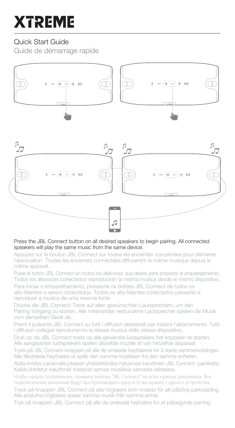## Quick Start Guide

Guide de démarrage rapide



#### Press the JBL Connect button on all desired speakers to begin pairing. All connected speakers will play the same music from the same device.

Appuyez sur le bouton JBL Connect sur toutes les enceintes concernées pour démarrer l'association. Toutes les enceintes connectées diffuseront la même musique depuis le même appareil.

Pulse el botón JBL Connect en todos los altavoces que desee para empezar el emparejamiento. Todos los altavoces conectados reproducirán la misma música desde el mismo dispositivo. Para iniciar o emparelhamento, pressione os botões JBL Connect de todos os

alto-falantes a serem conectados. Todos os alto-falantes conectados passarão a reproduzir a música de uma mesma fonte.

Drücke die JBL Connect-Taste auf allen gewünschten Lautsprechern, um den Pairing-Vorgang zu starten. Alle miteinander verbundene Lautsprecher spielen die Musik vom denselben Gerät ab.

Premi il pulsante JBL Connect su tutti i diffusori desiderati per iniziare l'abbinamento. Tutti i diffusori collegati riprodurranno la stessa musica dallo stesso dispositivo.

Druk op de JBL Connect-toets op alle gewenste luidsprekers het koppelen te starten. Alle aangesloten luidsprekers spelen dezelfde muziek af van hetzelfde apparaat.

Trykk på JBL Connect-knappen på alle de ønskede høyttalerne for å starte sammenkoblingen. Alle tilkoblede høyttalere vil spille den samme musikken fra den samme enheten.

Aloita linkitys painamalla jokaisen yhdistettäväksi haluamasi kaiuttimen JBL Connect -painiketta. Kaikki linkitetyt kaiuttimet toistavat samaa musiikkia samasta laitteesta.

Чтобы начать сопряжение, нажмите кнопку "JBL Connect" на всех нужных динамиках. Все подключенные динамики будут воспроизводить одну и ту же музыку с одного устройства. Tryck på knappen JBL Connect på alla högtalare som önskas för att påbörja parkoppling. Alla anslutna högtalare spelar samma musik från samma enhet.

Tryk på knappen JBL Connect på alle de ønskede højttalere for at påbegynde parring.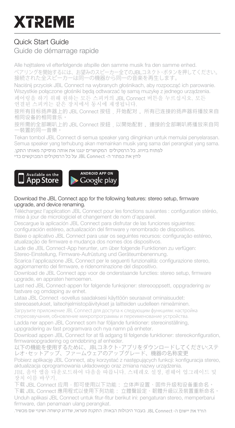# Quick Start Guide

### Guide de démarrage rapide

Alle højttalere vil efterfølgende afspille den samme musik fra den samme enhed. ペアリングを開始するには、お望みのスピーカー全てのJBLコネクト・ボタンを押してください。 接続された全スピーカーは同一の機器から同一の音楽を再生します。

Naciśnij przycisk JBL Connect na wybranych głośnikach, aby rozpocząć ich parowanie. Wszystkie połączone głośniki będą odtwarzać tę samą muzykę z jednego urządzenia. 페어링을 하기 위해 원하는 모든 스피커의 JBL Connect 버튼을 누르십시오. 모든

연결된 스피커는 같은 장치에서 동시에 재생됩니다.

按所有目标扬声器上的 JBL Connect 按钮,开始配对。 所有已连接的扬声器将播放来自 相同设备的相同音乐。

按所需的全部喇叭上的 JBL Connect 按鈕,以開始配對。 連接的全部喇叭將播放來自同 一裝置的同一音樂。

Tekan tombol JBL Connect di semua speaker yang diinginkan untuk memulai penyelarasan. Semua speaker yang terhubung akan memainkan musik yang sama dari perangkat yang sama.לפתוח בזיווג. כל הרמקולים המקושרים ינגנו את אותה מוסיקה מאותו התקן.

לחץ את כפתור ה- JBL Connect על כל הרמקולים המבוקשים כדי





#### Download the JBL Connect app for the following features: stereo setup, firmware upgrade, and device renaming.

Téléchargez l'application JBL Connect pour les fonctions suivantes : configuration stéréo, mise à jour de micrologiciel et changement de nom d'appareil.

Descargue la aplicación JBL Connect para disfrutar de las funciones siguientes:

configuración estéreo, actualización del firmware y renombrado de dispositivos.

Baixe o aplicativo JBL Connect para usar os seguintes recursos: configuração estéreo, atualização de firmware e mudança dos nomes dos dispositivos.

Lade die JBL Connect-App herunter, um über folgende Funktionen zu verfügen:

Stereo-Einstellung, Firmware-Aufrüstung und Geräteumbenennung.

Scarica l'applicazione JBL Connect per le seguenti funzionalità: configurazione stereo, aggiornamento del firmware, e ridenominazione del dispositivo.

Download de JBL Connect app voor de onderstaande functies: stereo setup, firmware upgrade, en appraten hernoemen.

Last ned JBL Connect-appen for følgende funksjoner: stereooppsett, oppgradering av fastvare og omdøping av enhet.

Lataa JBL Connect -sovellus saadaksesi käyttöön seuraavat ominaisuudet:

stereoasetukset, laiteohjelmistopäivitykset ja laitteiden uudelleen nimeäminen.

Загрузите приложение JBL Connect для доступа к следующим функциям: настройка

стереозвучания, обновление микропрограммы и переименование устройства.

Ladda ner appen JBL Connect som har följande funktioner: stereoinställning, uppgradering av fast programvara och nya namn på enheter.

Download appen JBL Connect for at få adgang til følgende funktioner: stereokonfiguration, firmwareopgradering og omdøbning af enheder.

以下の機能を使用するために、JBLコネクト・アプリをダウンロードしてください:ステ レオ・セットアップ、ファームウェアのアップグレード、機器の名称変更

Pobierz aplikację JBL Connect, aby korzystać z następujących funkcji: konfiguracja stereo, aktualizacja oprogramowania układowego oraz zmiana nazwy urządzenia.

JBL 음악 앱을 다운로드하여 다음을 따릅니다. 스테레오 설정, 펌웨어 업그레이드 및 장치 이름 바꾸기.

下载 JBL Connect 应用, 即可使用以下功能: 立体声设置、固件升级和设备重命名。 下載 JBL Connect 應用程式以使用下列功能: 立體聲設定、韌體升級以及裝置重新命名。 Unduh aplikasi JBL Connect untuk fitur-fitur berikut ini: pengaturan stereo, memperbarui firmware, dan penamaan ulang perangkat.

הורד את יישום ה- JBL Connect בעבור היכולות הבאות: התקנת סטראו, שדרוג קושחה ושינוי שם מכשיר.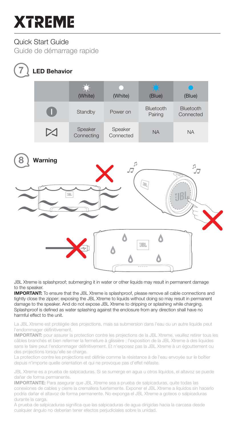### Quick Start Guide

Guide de démarrage rapide

**7** LED Behavior

# (White) (White) (Blue) (Blue)Standby Power on Bluetooth Bluetooth Connected Pairing Speaker Speaker Speaker<br>Connected NA NA **Connecting** Warning  $P_{\overline{C}}$



JBL Xtreme is splashproof; submerging it in water or other liquids may result in permanent damage to the speaker

IMPORTANT: To ensure that the JBL Xtreme is splashproof, please remove all cable connections and tightly close the zipper; exposing the JBL Xtreme to liquids without doing so may result in permanent damage to the speaker. And do not expose JBL Xtreme to dripping or splashing while charging. Splashproof is defined as water splashing against the enclosure from any direction shall have no harmful effect to the unit.

La JBL Xtreme est protégée des projections, mais sa submersion dans l'eau ou un autre liquide peut l'endommager définitivement.

IMPORTANT: pour assurer la protection contre les projections de la JBL Xtreme, veuillez retirer tous les câbles branchés et bien refermer la fermeture à glissière ; l'exposition de la JBL Xtreme à des liquides sans le faire peut l'endommager définitivement. Et n'exposez pas la JBL Xtreme à un égouttement ou des projections lorsqu'elle se charge.

La protection contre les projections est définie comme la résistance à de l'eau envoyée sur le boîtier depuis n'importe quelle orientation et qui ne provoque pas d'effet néfaste.

JBL Xtreme es a prueba de salpicaduras. Si se sumerge en agua u otros líquidos, el altavoz se puede dañar de forma permanente.

IMPORTANTE: Para asegurar que JBL Xtreme sea a prueba de salpicaduras, quite todas las conexiones de cables y cierre la cremallera fuertemente. Exponer el JBL Xtreme a líquidos sin hacerlo podría dañar el altavoz de forma permanente. No exponga el JBL Xtreme a goteos o salpicaduras durante la carga.

A prueba de salpicaduras significa que las salpicaduras de agua dirigidas hacia la carcasa desde cualquier ángulo no deberían tener efectos perjudiciales sobre la unidad.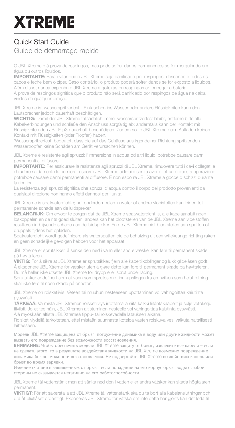## Quick Start Guide Guide de démarrage rapide

O JBL Xtreme é à prova de respingos, mas pode sofrer danos permanentes se for mergulhado em água ou outros líquidos.

IMPORTANTE: Para evitar que o JBL Xtreme seja danificado por respingos, desconecte todos os cabos e feche bem o zíper. Caso contrário, o produto poderá sofrer danos se for exposto a líquidos. Além disso, nunca exponha o JBL Xtreme a goteiras ou respingos ao carregar a bateria. À prova de respingos significa que o produto não será danificado por respingos de água na caixa vindos de qualquer direção.

JBL Xtreme ist wasserspritzerfest - Eintauchen ins Wasser oder andere Flüssigkeiten kann den Lautsprecher jedoch dauerhaft beschädigen.

WICHTIG: Damit der JBL Xtreme tatsächlich immer wasserspritzerfest bleibt, entferne bitte alle Kabelverbindungen und schließe den Anschluss sorgfältig ab; andernfalls kann der Kontakt mit Flüssigkeiten den JBL Flip3 dauerhaft beschädigen. Zudem sollte JBL Xtreme beim Aufladen keinen Kontakt mit Flüssigkeiten (oder Tropfen) haben.

'Wasserspritzerfest' bedeutet, dass die auf das Gehäuse aus irgendeiner Richtung spritzenden Wassertropfen keine Schäden am Gerät verursachen können.

JBL Xtreme è resistente agli spruzzi; l'immersione in acqua od altri liquidi potrebbe causare danni permanenti al diffusore.

IMPORTANTE: Per assicurare la resistenza agli spruzzi di JBL Xtreme, rimuovere tutti i cavi collegati e chiudere saldamente la cerniera; esporre JBL Xtreme ai liquidi senza aver effettuato questa operazione potrebbe causare danni permanenti al diffusore. E non esporre JBL Xtreme a gocce o schizzi durante la ricarica.

La resistenza agli spruzzi significa che spruzzi d'acqua contro il corpo del prodotto provenienti da qualsiasi direzione non hanno effetti dannosi per l'unità.

JBL Xtreme is spatwaterdichte; het onderdompelen in water of andere vloeistoffen kan leiden tot permanente schade aan de luidspreker.

BELANGRIJK: Om ervoor te zorgen dat de JBL Xtreme spatwaterdicht is, alle kabelaansluitingen loskoppelen en de rits goed sluiten; anders kan het blootstellen van de JBL Xtreme aan vloeistoffen resulteren in blijvende schade aan de luidspreker. En de JBL Xtreme niet blootstellen aan spatten of druppels tijdens het opladen.

Spatwaterdicht wordt gedefinieerd als waterspatten die de behuizing uit een willekeurige richting raken en geen schadelijke gevolgen hebben voor het apparaat.

JBL Xtreme er sprutsikker, å senke den ned i vann eller andre væsker kan føre til permanent skade på høyttaleren.

VIKTIG: For å sikre at JBL Xtreme er sprutsikker, fjern alle kabeltilkoblinger og lukk glidelåsen godt. Å eksponere JBL Xtreme for væsker uten å gjøre dette kan føre til permanent skade på høyttaleren. Du må heller ikke utsette JBL Xtreme for drypp eller sprut under lading.

Sprutsikker er definert som at vann som sprutes mot innkapslingen fra en hvilken som helst retning skal ikke føre til noen skade på enheten.

JBL Xtreme on roisketiivis. Veteen tai muuhun nesteeseen upottaminen voi vahingoittaa kaiutinta pysyvästi.

TÄRKEÄÄ: Varmista JBL Xtremen roisketiiviys irrottamalla siitä kaikki liitäntäkaapelit ja sulje vetoketju tiiviisti. Jollet tee näin, JBL Xtremen altistuminen nesteelle voi vahingoittaa kaiutinta pysyvästi.

Älä myöskään altista JBL Xtremeä tippu- tai roiskevedelle latauksen aikana.

Roisketiiviydellä tarkoitetaan, ettei mistään suunnasta koteloa vasten roiskuva vesi vaikuta haitallisesti laitteeseen.

Модель JBL Xtreme защищена от брызг; погружение динамика в воду или другие жидкости может вызвать его повреждение без возможности восстановления.

**ВНИМАНИЕ**: Чтобы обеспечить модели JBL Xtreme защиту от брызг, извлеките все кабели – если не сделать этого, то в результате воздействия жидкости на JBL Xtreme возможно повреждение динамика без возможности восстановления. Не подвергайте JBL Xtreme воздействию капель или

брызг во время зарядки. Изделие считается защищенным от брызг, если попадание на его корпус брызг воды с любой стороны не сказывается негативно на его работоспособности.

JBL Xtreme tål vattenstänk men att sänka ned den i vatten eller andra vätskor kan skada högtalaren permanent.

VIKTIGT: För att säkerställa att JBL Xtreme tål vattenstänk ska du ta bort alla kabelanslutningar och dra åt blixtlåset ordentligt. Exponeras JBL Xtreme för vätska om inte detta har gjorts kan det leda till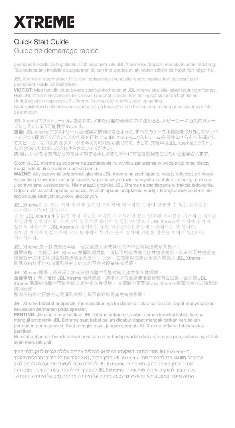# Quick Start Guide

### Guide de démarrage rapide

permanent skada på högtalaren. Och exponera inte JBL Xtreme för droppar eller stänk under laddning. Tåla vattenstänk innebär att apparaten tål och inte skadas av att vatten stänks på höljet från något håll.

JBL Xtreme er stænksikker. Hvis den nedsænkes i vand eller andre væsker, kan det resultere i permanent skade på højttaleren.

VIGTIGT: Med henblik på at bevare stænksikkerheden af JBL Xtreme skal alle kabeltilslutninger fjernes. Hvis JBL Xtreme eksponeres for væsker i modsat tilfælde, kan der opstå skade på højttaleren. Undgå også at eksponere JBL Xtreme for dryp eller stænk under opladning.

Stænksikkerhed defineres som vandsprøjt på kabinettet i en hvilken som retning uden skadelig effekt på enheden.

JBL Xtreme(エクストリーム)は防滴です。水または他の液体の中に沈めると、スピーカーに恒久的ダメー ジを与えてしまう可能性があります。

**重要**: JBL Xtreme(エクストリーム)が確実に防滴になるように、すべてのケーブル接続を取り外してジッパ ーをきつく閉めてください。この作業を行わずにJBL Xtreme(エクストリーム)を液体にさらすと、結果とし てスピーカーに恒久的なダメージを与える可能性があります。そして、充電中はJBL Xtreme(エクストリー ム)を水滴または水しぶきにさらさないでください。

防滴は、いかなる方向からの筐体に対する水しぶきも本体に有害な効果を生じないと定義されます。

Głośniki JBL Xtreme są odporne na zachlapanie; w wyniku zanurzenia w wodzie lub innej cieczy moga jednak ulec trwałemu uszkodzeniu.

WAŻNE: Aby zapewnić odporność głośnika JBL Xtreme na zachlapanie, należy odłączyć od niego wszystkie przewody i zasunąć suwak; w przeciwnym razie, w wyniku kontaktu z cieczą, może on ulec trwatemu uszkodzeniu. Nie narażać głośnika JBL Xtreme na zachlapanie w trakcie ładowania. Odporność na zachlapanie oznacza, że zachlapanie urządzenia woda z którejkolwiek ze stron nie spowoduje żadnych skutków ubocznych.

JBL Xtreme은 물 또는 기타 액체에 잠기면 스피커에 영구적인 손상이 발생할 수 있는 물튀김을 방지하는 기능이 있습니다.

중요: JBL Xtreme의 물튀김 방지 기능을 제대로 사용하려면 모든 연결된 케이블을 제거하고 지퍼를 확실하게 닫으십시오. 스피커에 영구적인 손상이 발생할 수 있으니 JBL Xtreme이 액체에 잠기지 않도록 하십시오. JBL Xtreme을 충전하는 동안 낙숫물이나 분문에 노출해서는 안 됩니다. 물튀김 방지란 인클로저에 모든 방향에서 튀기는 물이 장치에 위험한 영향을 미치지 않는다는 의미입니다.

JBL Xtreme 是一款防溅扬声器,但完全浸入水或其他液体中会对其造成永久损坏。 **重要信息:** 为保证 JBL Xtreme 发挥防溅性能,请拆下所有线缆连接并拉紧拉链。若未拆下并拉紧拉 链便置于液体之中则会对其造成永久损坏。 此外,在充电时应防止水滴入或溅入 JBL Xtreme。 防溅系指从任何方向溅到外壳上的水均不会对设备造成损坏。

JBL Xtreme 避濺;將其浸入水或其他液體中可能對喇叭產生永久性損壞。 **重要事項:** 為了確保 JBL Xtreme 能夠避濺,請移除所有纜線連接並緊緊閉合拉鍊;否則讓 JBL Xtreme 暴露於液體中可能對喇叭產生永久性損壞。 充電時也不要讓 JBL Xtreme 暴露於有水或液體滴 濺的區域。

避濺係指水從任意方向濺灑到外殼上都不會對裝置產生有害影響。

JBL Xtreme bersifat antipercik, memasukkannya ke dalam air atau cairan lain dapat menyebabkan kerusakan permanen pada speaker.

PENTING: Jika ingin memastikan JBL Xtreme antipercik, cabut semua koneksi kabel; karena menguji antipercik JBL Extreme saat kabel belum dicabut dapat mengakibatkan kerusakan permanen pada speaker. Saat mengisi daya, jangan sampai JBL Xtreme terkena tetesan atau percikan.

Bersifat antipercik berarti bahwa percikan air terhadap wadah dari arah mana pun, seharusnya tidak akan merusak unit.

ה-JBL Extreme חסין התזה; השקעתו במים או בנוזלים אחרים עלולה לגרום לנזק בלתי הפיך לרמקול. חשוב: בדי להבטיח שה- JBL Extreme חסין התזה, נא להסיר את כל חיבורי הכבלים ולסגור .<br>את הרוכסו באופו הדוק: חשיפת ה- JBL Extreme לנוזלים מבלי לעשות זאת עלולה לגרום לנזק. .<br>בלתי הפיר לרמקול. איו לחשוף את ה- JBL Extreme לטפטוף. או להתזה בעת הטעינה. מצב חסיו התזה מוגדר כמצב בו לא תהיה שום שפעה מזיקה על היחידה מהתזת מים על היחידה הסגורה .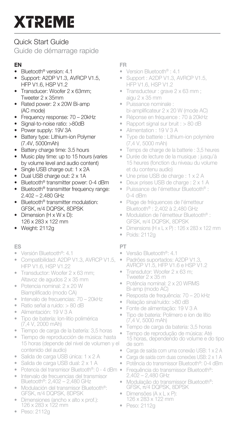## Quick Start Guide

Guide de démarrage rapide

### EN

- Bluetooth® version: 4.1
- Support: A2DP V1.3, AVRCP V1.5, HFP V1.6, HSP V1.2
- Transducer: Woofer 2 x 63mm; Tweeter 2 x 35mm
- Rated power: 2 x 20W Bi-amp (AC mode)
- Frequency response: 70 20kHz
- Signal-to-noise ratio: >80dB
- Power supply: 19V 3A
- **Battery type: Lithium-ion Polymer** (7.4V, 5000mAh)
- Battery charge time: 3.5 hours
- Music play time: up to 15 hours (varies by volume level and audio content)
- Single USB charge out: 1 x 2A
- Dual USB charge out: 2 x 1A
- Bluetooth® transmitter power: 0-4 dBm
- Bluetooth® transmitter frequency range: 2.402 – 2.480 GHz
- Bluetooth® transmitter modulation: GFSK, π/4 DQPSK, 8DPSK
- Dimension (H x W x D): 126 x 283 x 122 mm
- Weight: 2112g

#### ES

- Versión Bluetooth®: 4.1
- Compatibilidad: A2DP V1.3, AVRCP V1.5, HFP V1.6, HSP V1.22
- Transductor: Woofer 2 x 63 mm; Altavoz de agudos 2 x 35 mm
- Potencia nominal: 2 x 20 W Biamplificado (modo CA)
- Intervalo de frecuencias: 70 20kHz
- Ratio señal a ruido: > 80 dB
- Alimentación: 19 V 3 A
- Tipo de batería: Ion-litio polimérica (7,4 V, 2000 mAh)
- Tiempo de carga de la batería: 3,5 horas
- Tiempo de reproducción de música: hasta 15 horas (depende del nivel de volumen y el contenido del audio)
- Salida de carga USB única: 1 x 2 A
- Salida de carga USB dual: 2 x 1 A
- Potencia del transmisor Bluetooth®: 0 4 dBm
- Intervalo de frecuencias del transmisor Bluetooth®: 2,402 – 2,480 GHz<br>Modulación del transmisor Bluetooth®
- Modulación del transmisor Bluetooth®: GFSK, π/4 DQPSK, 8DPSK
- Dimensiones (ancho x alto x prof.): 126 x 283 x 122 mm
- FR
- Version Bluetooth® : 4.1
- Support : A2DP V1.3, AVRCP V1.5, HFP V1.6, HSP V1.2
- Transducteur : grave 2 x 63 mm ; aigu 2 x 35 mm
- Puissance nominale : bi-amplificateur 2 x 20 W (mode AC)
- Réponse en fréquence : 70 à 20kHz
- Rapport signal sur bruit : > 80 dB
- Alimentation : 19 V 3 A
- Type de batterie : Lithium-ion polymère (7,4 V, 5000 mAh)
- Temps de charge de la batterie : 3,5 heures
- Durée de lecture de la musique : jusqu'à 15 heures (fonction du niveau du volume et du contenu audio)
- Une prise USB de charge : 1 x 2 A
- Deux prises USB de charge : 2 x 1 A
- Puissance de l'émetteur Bluetooth® : 0-4 dBm
- Plage de fréquences de l'émetteur Bluetooth® : 2,402 à 2,480 GHz
- Modulation de l'émetteur Bluetooth® : GFSK, π/4 DQPSK, 8DPSK
- Dimensions (H x L x P) : 126 x 283 x 122 mm
- Poids: 2112g

#### PT

- Versão Bluetooth®: 4.1
- Padrões suportados: A2DP V1.3, AVRCP V1.5, HFP V1.6 e HSP V1.2
- Transdutor: Woofer 2 x 63 m; Tweeter 2 x 35 m
- Potência nominal: 2 x 20 WRMS Bi-amp (modo AC)
- Resposta de frequência: 70 20 kHz
- Relação sinal/ruído: >80 dB
- Fonte de alimentação: 19 V 3 A
- Tipo de bateria: Polímero e íon de lítio (7,4 V, 5000 mAh)
- Tempo de carga da bateria: 3,5 horas
- .<br>Tempo de reprodução de música: Até<br>15 horas, dependendo do volume e do tipo de som
- Carga de saída com uma conexão USB: 1 x 2 A
- Carga de saída com duas conexões USB: 2 x 1 A
- Potência do transmissor Bluetooth®: 0-4 dBm
- Frequência do transmissor Bluetooth®: 2,402 2,480 GHz
- Modulação do transmissor Bluetooth®: GFSK, π/4 DQPSK, 8DPSK
- Dimensões (A x L x P): 126 x 283 x 122 mm
- Peso: 2112g

• Peso: 2112g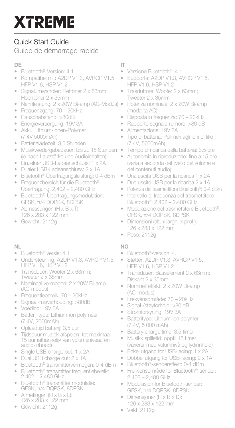# Quick Start Guide

### Guide de démarrage rapide

#### DE

- Bluetooth®-Version: 4.1
- Kompatibel mit: A2DP V1.3, AVRCP V1.5, HFP V1.6, HSP V1.2
- Signalumwandler: Tieftöner 2 x 63mm; Hochtöner 2 x 35mm
- Nennleistung: 2 x 20W Bi-amp (AC-Modus)
- Frequenzgang: 70 20kHz
- Rauschabstand: >80dB
- Energieversorgung: 19V 3A
- Akku: Lithium-Ionen-Polymer (7,4V 5000mAh)
- Batterieladezeit: 3,5 Stunden
- Musikwiedergabedauer: bis zu 15 Stunden (je nach Lautstärke und Audioinhalten)
- Einzelner USB-Ladeanschluss: 1 x 2A
- Dualer USB-Ladeanschluss: 2 x 1A
- Bluetooth®-Übertragungsleistung: 0-4 dBm
- Frequenzbereich für die Bluetooth®- Übertragung: 2,402 – 2,480 GHz
- Bluetooth®-Übertragungsmodulation: GFSK, π/4 DQPSK, 8DPSK
- Abmessungen (H x B x T): 126 x 283 x 122 mm
- Gewicht: 2112g

### NL

- Bluetooth® versie: 4.1
- Ondersteuning: A2DP V1.3, AVRCP V1.5, HFP V1.6, HSP V1.2
- Transducer: Woofer 2 x 63mm; Tweeter 2 x 35mm
- Nominaal vermogen: 2 x 20W Bi-amp (AC-modus)
- Frequentiebereik: 70 20kHz
- Signaal-ruisverhouding: >80dB
- Voeding: 19V 3A
- Batterij-type: Lithium-ion polymeer (7,4V, 2000mAh)
- 
- Oplaadtijd batterij: 3,5 uur • Tijdsduur muziek afspelen: tot maximaal 15 uur (afhankelijk van volumeniveau en audio-inhoud)
- Single USB charge out: 1 x 2A
- Dual USB charge out: 2 x 1A
- Bluetooth® transmittervermogen: 0-4 dBm
- Bluetooth® transmitter frequentiebereik: 2.402 2.480 GHz
- Bluetooth® transmitter modulatie: GFSK, π/4 DQPSK, 8DPSK
- Afmetingen (H x B x L): 126 x 283 x 122 mm

#### • Gewicht: 2112g

### IT

- Versione Bluetooth®: 4.1
- Supporta: A2DP V1.3, AVRCP V1.5, HFP V1.6, HSP V1.2
- Trasduttore: Woofer 2 x 63mm; Tweeter 2 x 35mm
- Potenza nominale: 2 x 20W Bi-amp (modalità AC)
- Risposta in frequenza: 70 20kHz
	- Rapporto segnale-rumore: >80 dB
- Alimentazione: 19V 3A
- Tipo di batteria: Polimeri agli ioni di litio (7.4V, 5000mAh)
- Tempo di ricarica della batteria: 3.5 ore
- Autonomia in riproduzione: fino a 15 ore (varia a seconda del livello del volume e dei contenuti audio)
- Una uscita USB per la ricarica 1 x 2A
- Due uscite USB per la ricarica 2 x 1A
- Potenza del trasmettitore Bluetooth®: 0-4 dBm
- Intervallo di frequenza del trasmettitore Bluetooth®: 2.402 – 2.480 GHz
- Modulazione del trasmettitore Bluetooth®: GFSK, π/4 DQPSK, 8DPSK
- Dimensioni (alt. x largh. x prof.): 126 x 283 x 122 mm
- Peso: 2112g

#### NO

- Bluetooth®-versjon: 4.1
- Støtter: A2DP V1.3, AVRCP V1.5, HFP V1.6, HSP V1.2
- Transduser: Basselement 2 x 63mm; Diskant 2 x 35mm
- Nominell effekt: 2 x 20W Bi-amp (AC-modus)
- Frekvensområde: 70 20kHz
- Signal-/støyforhold: >80 dB
- Strømforsyning: 19V 3A
- Batteritype: Lithium-ion polymer (7,4V, 5 000 mAh)
- Battery charge time: 3,5 timer
- Musikk spilletid: opptil 15 timer (varierer med volumnivå og lydinnhold)
- Enkel utgang for USB-lading: 1 x 2A
- Dobbel utgang for USB-lading: 2 x 1A
- Bluetooth®-sendereffekt: 0-4 dBm
- Frekvensområde for Bluetooth®-sender: 2,402 – 2,480 GHz
- Modulasjon for Bluetooth-sender: GFSK, π/4 DQPSK, 8DPSK
- Dimensjoner (H x B x D): 126 x 283 x 122 mm
- Vekt: 2112g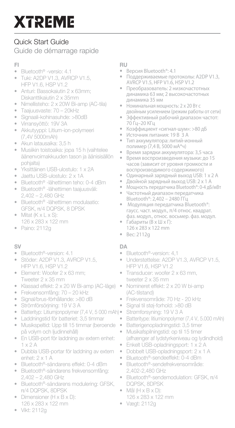# Quick Start Guide

Guide de démarrage rapide

### FI

- Bluetooth® -versio: 4.1
- Tuki: A2DP V1.3, AVRCP V1.5, HFP V1.6, HSP V1.2
- Anturi: Bassokaiutin 2 x 63mm; Diskanttikaiutin 2 x 35mm
- Nimellisteho: 2 x 20W Bi-amp (AC-tila)
- Taajuusvaste: 70 20kHz
- Signaali-kohinasuhde: >80dB
- Virransyöttö: 19V 3A
- Akkutyyppi: Litium-ion-polymeeri (7,4V 5000mAh)
- Akun latausaika: 3,5 h
- Musiikin toistoaika: jopa 15 h (vaihtelee äänenvoimakkuuden tason ja äänisisällön pohjalta)
- Yksittäinen USB-ulostulo: 1 x 2A
- Jaettu USB-ulostulo: 2 x 1A
- Bluetooth® -lähettimen teho: 0-4 dBm
- Bluetooth® -lähettimen taajuusväli: 2,402 – 2,480 GHz
- Bluetooth® -lähettimen modulaatio: GFSK, π/4 DQPSK, 8 DPSK
- Mitat (K x L x S): 126 x 283 x 122 mm
- Paino: 2112g

### SV

- Bluetooth®-version: 4.1
- Stöder: A2DP V1.3, AVRCP V1.5 HFP V1.6, HSP V1.2
- Element: Woofer 2 x 63 mm; Tweeter 2 x 35 mm
- Klassad effekt: 2 x 20 W Bi-amp (AC-läge)
- Frekvensomfång: 70 20 kHz
- Signal/brus-förhållande: >80 dB
- Strömförsörjning: 19 V 3 A
- Batterityp: Litiumjonpolymer (7,4 V, 5 000 mAh) •
- Laddningstid för batteriet: 3,5 timmar
- Musikspeltid: Upp till 15 timmar (beroende på volym och ljudinnehåll)
- En USB-port för laddning av extern enhet:  $1 \times 2$  A
- Dubbla USB-portar för laddning av extern enhet: 2 x 1 A
- Bluetooth®-sändarens effekt: 0-4 dBm
- Bluetooth®-sändarens frekvensomfång: 2,402 – 2,480 GHz
- Bluetooth®-sändarens modulering: GFSK, π/4 DQPSK, 8DPSK
- Dimensioner (H x B x D): 126 x 283 x 122 mm

#### • Vikt: 2112g

#### RU

- Версия Bluetooth®: 4.1
- Поддерживаемые протоколы: A2DP V1.3, AVRCP V1.5, HFP V1.6, HSP V1.2
- Преобразователь: 2 низкочастотных динамика 63 мм; 2 высокочастотных динамика 35 мм
- Номинальная мощность: 2 x 20 Вт с двойным усилением (режим работы от сети)
- Эффективный рабочий диапазон частот: 70 Гц–20 КГц<br>Козффицион
- Коэффициент «сигнал-шум»: >80 дБ<br>• Источник питания: 19 в з л
- Источник питания: 19 В 3 А
- Тип аккумулятора: литий-ионный полимер (7,4 В, 5000 мА\*ч)
- Время зарядки аккумулятора: 3,5 часа
- Время воспроизведения музыки: до 15 часов (зависит от уровня громкости и воспроизводимого содержимого)<br>• Опинарный заряльный выход USR
- Одинарный зарядный выход USB: 1 x 2 А
- Двойной зарядный выход USB: 2 x 1 А
- Мощность передатчика Bluetooth®: 0-4 дБ/мВт
- Частотный диапазон передатчика Bluetooth®: 2,402 – 2480 ГГц
- Модуляция передатчика Bluetooth®: гаусс. част. модул., π/4 относ. квадрат. фаз. модул., относ. восьмер. фаз. модул.
- Габариты (В x Ш x Г): 126 x 283 x 122 mm
- Вес: 2112g

#### DA

- Bluetooth®-version: 4,1
- Understøttelse: A2DP V1.3, AVRCP V1.5, HFP V1.6, HSP V1.2
- Transducer: woofer 2 x 63 mm, tweeter 2 x 35 mm
- Nomineret effekt: 2 x 20 W bi-amp (AC-tilstand)
- Frekvensområde: 70 Hz 20 kHz
- Signal til støj-forhold: >80 dB
- Strømforsyning: 19 V 3 A
- Batteritype: litiumionpolymer (7,4 V, 5.000 mAh)
- Batterigenopladningstid: 3,5 timer
- Musikafspilningstid: op til 15 timer (afhænger af lydstyrkeniveau og lydindhold)
- Enkelt USB-opladningsport: 1 x 2 A
- Dobbelt USB-opladningsport: 2 x 1 A
- Bluetooth®-sendeeffekt: 0-4 dBm
- Bluetooth®-sendefrekvensområde: 2,402-2,480 GHz
- Bluetooth®-sendemodulation: GFSK, π/4 DQPSK, 8DPSK
- Mål (H x B x D): 126 x 283 x 122 mm
- Vægt: 2112g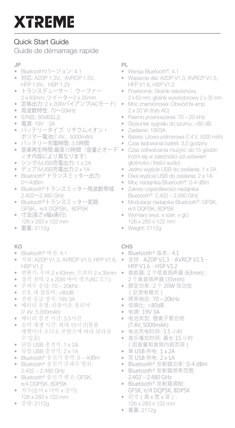# Quick Start Guide

Guide de démarrage rapide

### JP

- Bluetooth®バージョン: 4.1
- 対応: A2DP 1.3V、AVRCP 1.5V、 HFP 1.6V、HSP 1.2V
- トランスデューサー: ウーファー 2 x 63mm; ツイーター2 x 35mm
- 定格出力: 2 x 20Wバイアンプ(ACモード)
- 周波数特性: 70~20kHz
- S/N比: 80dB以上
- 電源: 19V 3A
- バッテリータイプ: リチウムイオン・ ポリマー電池(7.4V、5000mAh)
- バッテリー充電時間: 3.5時間
- 音楽再生時間:最高15時間(音量とオーデ ィオ内容により異なります)
- シングルUSB充電出力: 1 x 2A
- デュアルUSB充電出力 2 x 1A
- Bluetooth® トランスミッター出力: 0~4dBm
- Bluetooth®トランスミッター周波数帯域: 2.402~2.480 GHz
- Bluetooth®トランスミッター変調: GFSK、π/4 DQPSK、8DPSK
- 寸法(高さx幅x奥行):
- 126 x 283 x 122 mm
- 重量: 2112g

#### KO

- Bluetooth® 버전: 4.1
- 지원: A2DP V1.3, AVRCP V1.5, HFP V1.6, HSP V1.2
- 변환기: 우퍼 2 x 63mm, 트위터 2 x 35mm
- 정격 전력: 2 x 20W 바이 앰프(AC 모드)
- 주파수 응답: 70 ~ 20kHz
- 신호 대 잡음비: >80dB
- 전원 공급 장치: 19V 3A
- 배터리 유형: 리튬이온 폴리머 (7.4V, 5,000mAh)
- 배터리 충전 시간: 3.5시간
- 음악 재생 시간: 최대 15시간(볼륨 레벨이나 오디오 콘텐츠에 따라 달라질 수 있음)
- 단일 USB 충전식: 1 x 2A
- 듀얼 USB 충전식: 2 x 1A
- Bluetooth® 송신기 출력: 0 ~ 4dBm • Bluetooth® 송신기 주파수 범위:
- 2.402 ~ 2.480 GHz
- Bluetooth® 송신기 변조: GFSK, π/4 DQPSK, 8DPSK
- 치수(높이 x 너비 x 깊이): 126 x 283 x 122 mm
- 중량: 2112g

PL

- Wersja Bluetooth®: 4,1
- Wsparcie dla: A2DP V1.3, AVRCP V1.5, HFP V1.6, HSP V1.2
- Przetwornik: Głośnik niskotonowy 2 x 63 mm; głośnik wysokotonowy 2 x 35 mm
- Moc znamionowa: Obwód bi-amp 2 x 20 W (tryb AC)
- Pasmo przenoszenia: 70 20 kHz
- Stosunek sygnału do szumu: >80 dB
- Zasilanie: 19V3A
- Bateria: Litowo-polimerowa (7,4 V, 5000 mAh)
- Czas ładowania baterii: 3,5 godziny
- Czas odtwarzania muzyki: do 15 godzin (różni się w zależności od ustawień głośności i treści audio)
- Jedno wyjście USB do zasilania: 1 x 2A
- Dwa wyjścia USB do zasilania: 2 x 1A
- Moc nadajnika Bluetooth®: 0-4 dBm
- Zakres częstotliwości nadajnika Bluetooth®: 2,402 – 2,480 GHz
- Modulacja nadajnika Bluetooth®: GFSK, π/4 DQPSK, 8DPSK
- Wymiary (wys. x szer. x gł.): 126 x 283 x 122 mm
- Weight: 2112g

#### CHS

- Bluetooth® 版本: 4.1
- 支持: A2DP V1.3、AVRCP V1.5、 HFP V1.6、HSP V1.2
- 换能器:2 个低音扬声器 (63mm); 2 个高音扬声器 (35mm)
- 额定功率:2 个 20W 双功放 (交流电模式)
- 频率响应:70 20kHz
- 信噪比:>80dB
- 电源:19V 3A
- 电池类型:锂离子聚合物 (7.4V, 5000mAh)
- 电池充电时间:3.5 小时
- 音乐播放时间:最长 15 小时 (因音量和音频内容而异)
- 单 USB 供电:1 x 2A
- 双 USB 供电:2 x 1A
- Bluetooth® 发射器功率:0-4 dBm
- Bluetooth® 发射器频率范围: 2.402 – 2.480 GHz
- Bluetooth® 发射器调制: GFSK, π/4 DQPSK, 8DPSK
- 尺寸(高 x 宽 x 深): 126 x 283 x 122 mm
- 重量: 2112g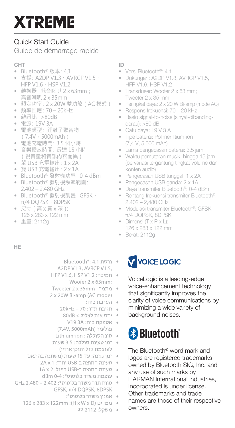# Quick Start Guide

Guide de démarrage rapide

### CHT

- Bluetooth® 版本:4.1
- 支援:A2DP V1.3、AVRCP V1.5、 HFP V1.6、HSP V1.2
- 轉換器: 低音喇叭 2 x 63mm; 高音喇叭 2 x 35mm
- 額定功率:2 x 20W 雙功放(AC 模式)
- 頻率回應: 70 20kHz
- · 雜訊比: >80dB
- 電源:19V 3A
- 電池類型: 鋰離子聚合物 (7.4V,5000mAh)
- 電池充電時間:3.5 個小時
- 音樂播放時間:長達 15 小時 (視音量和音訊內容而異)
- 單 USB 充電輸出:1 x 2A
- 雙 USB 充電輸出:2 x 1A
- Bluetooth® 發射機功率:0-4 dBm
- Bluetooth® 發射機頻率範圍: 2.402 – 2.480 GHz
- Bluetooth® 發射機調變:GFSK、 π/4 DQPSK、8DPSK
- 尺寸(高 x 寬 x 深): 126 x 283 x 122 mm
- 重量: 2112g

### ID

- Versi Bluetooth®: 4.1
- Dukungan: A2DP V1.3, AVRCP V1.5, HFP V1.6, HSP V1.2
- Transduser: Woofer 2 x 63 mm; Tweeter 2 x 35 mm
- Peringkat daya: 2 x 20 W Bi-amp (mode AC)
- Respons frekuensi: 70 20 kHz
- Rasio signal-to-noise (sinyal-dibanding derau): >80 dB
- Catu daya: 19 V 3 A
- Tipe baterai: Polimer litium-ion (7,4 V, 5.000 mAh)
- Lama pengecasan baterai: 3,5 jam
- Waktu pemutaran musik: hingga 15 jam (bervariasi tergantung tingkat volume dan konten audio)
- Pengecasan USB tunggal: 1 x 2A
- Pengecasan USB ganda: 2 x 1A
- Daya transmiter Bluetooth®: 0-4 dBm
- Rentang frekuensi transmiter Bluetooth®: 2,402 – 2,480 GHz
- Modulasi transmiter Bluetooth®: GFSK, π/4 DQPSK, 8DPSK
- Dimensi (T x P x L): 126 x 283 x 122 mm
- Berat: 2112g

### HE

■ גרסת 4.1 :8luetooth®: A2DP V1.3, AVRCP V1.5,

- תמיכה: HFP V1.6, HSP V1.2 Woofer 2 x 63mm:
- מתמר: Tweeter 2 x 35mm 2 x 20W Bi-amp (AC mode)
	- הערכת כוח:
	- a תגובת תדר: 70 20kHz
	- \* יחס אות לצליל > 80dB ■ אספקת כוח: V19 3A
	- פולימר (7.4V. 5000mAh)
	- · סוג הסוללה: Lithium-ion
- זמו טעינת סוללה: 3.5 שעות לעוצמת קול ותוכן אודיו)
- זמן נגינה: עד 15 שעות (משתנה בהתאם
	- טעינה החוצה ב-USB יחיד: 2A x 1
		- טעינה החוצה ב-USB כפול: 1A x 2
	- dBm 0-4:®טוס": 4-0
- טווח תדר משדר בלוטוס\*: GHz 2.480 2.402 GFSK, π/4 DOPSK, 8DPSK
	- אפנוו משדר בלוטוס":
	- ממדים (H x W x D) ו 126 x 283 x 122mm
		- משקל: 2112 קג

# V VOICE LOGIC

VoiceLogic is a leading-edge voice-enhancement technology that significantly improves the clarity of voice communications by minimizing a wide variety of background noises.

# <sup>8</sup> Bluetooth<sup>®</sup>

The Bluetooth® word mark and logos are registered trademarks owned by Bluetooth SIG, Inc. and any use of such marks by HARMAN International Industries, Incorporated is under license. Other trademarks and trade names are those of their respective owners.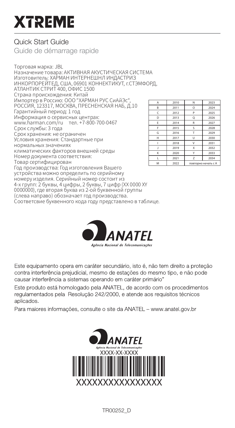# Quick Start Guide

Guide de démarrage rapide

Торговая марка: JBL Назначение товара: АКТИВНАЯ АКУСТИЧЕСКАЯ СИСТЕМА Изготовитель: ХАРМАН ИНТЕРНЕШНЛ ИНДАСТРИЗ ИНКОРПОРЕЙТЕД, США, 06901 КОННЕКТИКУТ, г.СТЭМФОРД, АТЛАНТИК СТРИТ 400, ОФИС 1500 Страна происхождения: Китай Импортер в Россию: OOO "ХАРМАН РУС СиАйЭс", РОССИЯ, 123317, МОСКВА, ПРЕСНЕНСКАЯ НАБ, Д.10 Гарантийный период: 1 год Информация о сервисных центрах: www.harman.com/ru тел. +7-800-700-0467 Срок службы: 3 года Срок хранения: не ограничен Условия хранения: Cтандартные при нормальных значениях климатических факторов внешней среды Номер документа соответствия: Товар сертифицирован Год производства: Год изготовления Вашего устройства можно определить по серийному номеру изделия. Серийный номер состоит из 4-х групп: 2 буквы, 4 цифры, 2 буквы, 7 цифр (XX 0000 XY 0000000), где вторая буква из 2-ой буквенной группы (слева направо) обозначает год производства. Соответсвие буквенного кода году представлено в таблице.

| A | 2010 | N                   | 2023 |
|---|------|---------------------|------|
| R | 2011 | $\alpha$            | 2024 |
| ċ | 2012 | ۰                   | 2025 |
| D | 2013 | Ω                   | 2026 |
| Ė | 2014 | R                   | 2027 |
| ۴ | 2015 | Ś                   | 2028 |
| G | 2016 |                     | 2029 |
| н | 2017 | п                   | 2030 |
|   | 2018 | $\mathbf{v}$        | 2031 |
|   | 2019 | X                   | 2032 |
| K | 2020 | Υ                   | 2033 |
|   | 2021 |                     | 2034 |
| M | 2022 | повторно начать с А |      |



Este equipamento opera em caráter secundário, isto é, não tem direito a protecão contra interferência prejudicial, mesmo de estações do mesmo tipo, e não pode causar interferência a sistemas operando em caráter primário"

Este produto está homologado pela ANATEL, de acordo com os procedimentos requlamentados pela Resolução 242/2000, e atende aos requisitos técnicos aplicados.

Para maiores informações, consulte o site da ANATEL - www.anatel.gov.br



TR00252\_D